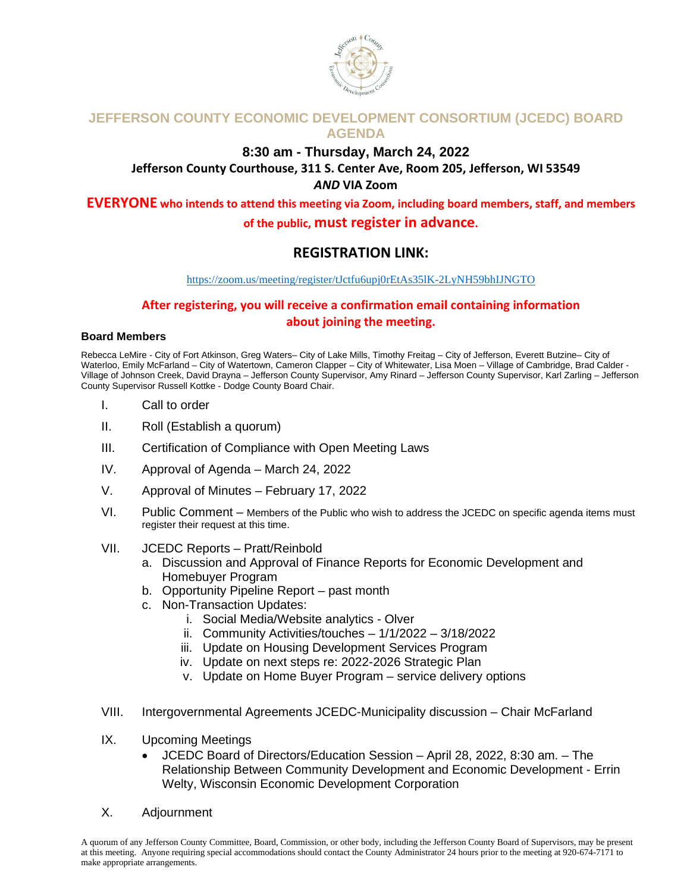

## **JEFFERSON COUNTY ECONOMIC DEVELOPMENT CONSORTIUM (JCEDC) BOARD AGENDA**

### **8:30 am - Thursday, March 24, 2022 Jefferson County Courthouse, 311 S. Center Ave, Room 205, Jefferson, WI 53549** *AND* **VIA Zoom**

**EVERYONE who intends to attend this meeting via Zoom, including board members, staff, and members of the public, must register in advance.** 

## **REGISTRATION LINK:**

#### <https://zoom.us/meeting/register/tJctfu6upj0rEtAs35lK-2LyNH59bhIJNGTO>

## **After registering, you will receive a confirmation email containing information about joining the meeting.**

#### **Board Members**

Rebecca LeMire - City of Fort Atkinson, Greg Waters– City of Lake Mills, Timothy Freitag – City of Jefferson, Everett Butzine– City of Waterloo, Emily McFarland – City of Watertown, Cameron Clapper – City of Whitewater, Lisa Moen – Village of Cambridge, Brad Calder -Village of Johnson Creek, David Drayna – Jefferson County Supervisor, Amy Rinard – Jefferson County Supervisor, Karl Zarling – Jefferson County Supervisor Russell Kottke - Dodge County Board Chair.

- I. Call to order
- II. Roll (Establish a quorum)
- III. Certification of Compliance with Open Meeting Laws
- IV. Approval of Agenda March 24, 2022
- V. Approval of Minutes February 17, 2022
- VI. Public Comment Members of the Public who wish to address the JCEDC on specific agenda items must register their request at this time.
- VII. JCEDC Reports Pratt/Reinbold
	- a. Discussion and Approval of Finance Reports for Economic Development and Homebuyer Program
	- b. Opportunity Pipeline Report past month
	- c. Non-Transaction Updates:
		- i. Social Media/Website analytics Olver
		- ii. Community Activities/touches 1/1/2022 3/18/2022
		- iii. Update on Housing Development Services Program
		- iv. Update on next steps re: 2022-2026 Strategic Plan
		- v. Update on Home Buyer Program service delivery options
- VIII. Intergovernmental Agreements JCEDC-Municipality discussion Chair McFarland
- IX. Upcoming Meetings
	- JCEDC Board of Directors/Education Session April 28, 2022, 8:30 am. The Relationship Between Community Development and Economic Development - Errin Welty, Wisconsin Economic Development Corporation
- X. Adjournment

A quorum of any Jefferson County Committee, Board, Commission, or other body, including the Jefferson County Board of Supervisors, may be present at this meeting. Anyone requiring special accommodations should contact the County Administrator 24 hours prior to the meeting at 920-674-7171 to make appropriate arrangements.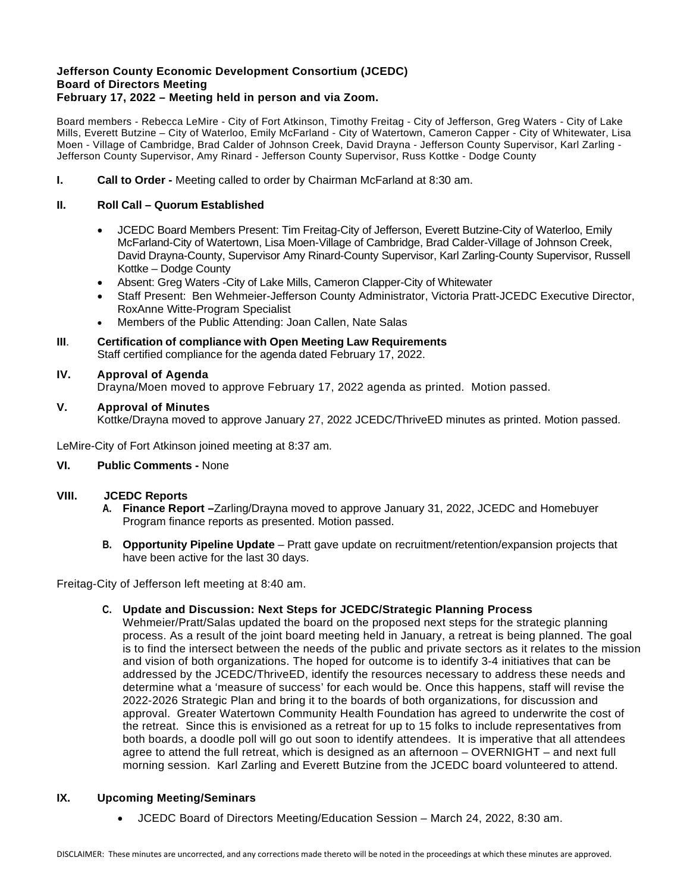#### **Jefferson County Economic Development Consortium (JCEDC) Board of Directors Meeting February 17, 2022 – Meeting held in person and via Zoom.**

Board members - Rebecca LeMire - City of Fort Atkinson, Timothy Freitag - City of Jefferson, Greg Waters - City of Lake Mills, Everett Butzine – City of Waterloo, Emily McFarland - City of Watertown, Cameron Capper - City of Whitewater, Lisa Moen - Village of Cambridge, Brad Calder of Johnson Creek, David Drayna - Jefferson County Supervisor, Karl Zarling - Jefferson County Supervisor, Amy Rinard - Jefferson County Supervisor, Russ Kottke - Dodge County

**I. Call to Order -** Meeting called to order by Chairman McFarland at 8:30 am.

#### **II. Roll Call – Quorum Established**

- JCEDC Board Members Present: Tim Freitag-City of Jefferson, Everett Butzine-City of Waterloo, Emily McFarland-City of Watertown, Lisa Moen-Village of Cambridge, Brad Calder-Village of Johnson Creek, David Drayna-County, Supervisor Amy Rinard-County Supervisor, Karl Zarling-County Supervisor, Russell Kottke – Dodge County
- Absent: Greg Waters -City of Lake Mills, Cameron Clapper-City of Whitewater
- Staff Present: Ben Wehmeier-Jefferson County Administrator, Victoria Pratt-JCEDC Executive Director, RoxAnne Witte-Program Specialist
- Members of the Public Attending: Joan Callen, Nate Salas
- **III**. **Certification of compliance with Open Meeting Law Requirements** Staff certified compliance for the agenda dated February 17, 2022.

#### **IV. Approval of Agenda**

Drayna/Moen moved to approve February 17, 2022 agenda as printed. Motion passed.

#### **V. Approval of Minutes**

Kottke/Drayna moved to approve January 27, 2022 JCEDC/ThriveED minutes as printed. Motion passed.

LeMire-City of Fort Atkinson joined meeting at 8:37 am.

#### **VI. Public Comments -** None

#### **VIII. JCEDC Reports**

- **A. Finance Report –**Zarling/Drayna moved to approve January 31, 2022, JCEDC and Homebuyer Program finance reports as presented. Motion passed.
- **B. Opportunity Pipeline Update** Pratt gave update on recruitment/retention/expansion projects that have been active for the last 30 days.

Freitag-City of Jefferson left meeting at 8:40 am.

#### **C. Update and Discussion: Next Steps for JCEDC/Strategic Planning Process**

Wehmeier/Pratt/Salas updated the board on the proposed next steps for the strategic planning process. As a result of the joint board meeting held in January, a retreat is being planned. The goal is to find the intersect between the needs of the public and private sectors as it relates to the mission and vision of both organizations. The hoped for outcome is to identify 3-4 initiatives that can be addressed by the JCEDC/ThriveED, identify the resources necessary to address these needs and determine what a 'measure of success' for each would be. Once this happens, staff will revise the 2022-2026 Strategic Plan and bring it to the boards of both organizations, for discussion and approval. Greater Watertown Community Health Foundation has agreed to underwrite the cost of the retreat. Since this is envisioned as a retreat for up to 15 folks to include representatives from both boards, a doodle poll will go out soon to identify attendees. It is imperative that all attendees agree to attend the full retreat, which is designed as an afternoon – OVERNIGHT – and next full morning session. Karl Zarling and Everett Butzine from the JCEDC board volunteered to attend.

#### **IX. Upcoming Meeting/Seminars**

• JCEDC Board of Directors Meeting/Education Session – March 24, 2022, 8:30 am.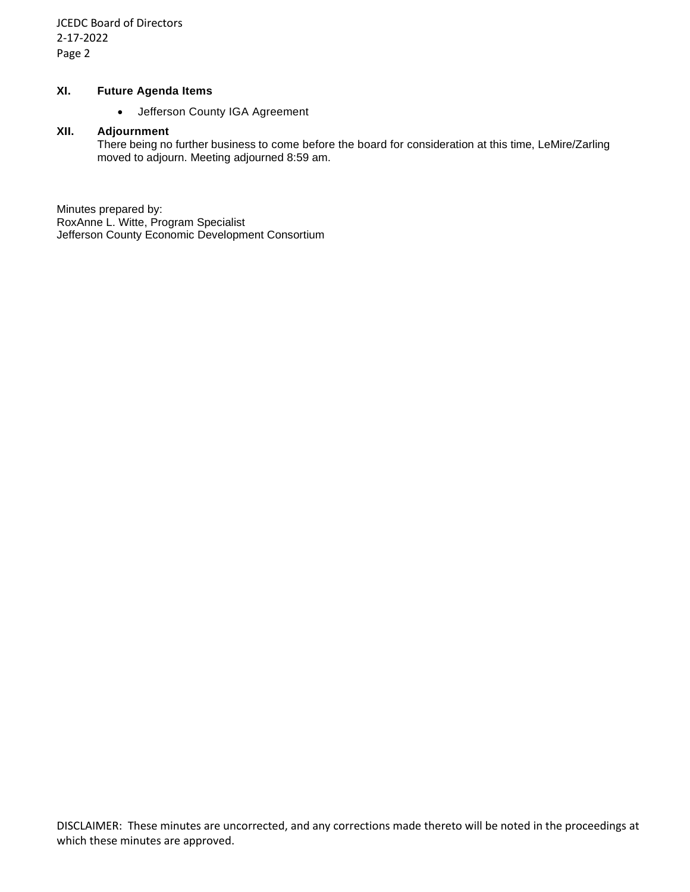JCEDC Board of Directors 2-17-2022 Page 2

#### **XI. Future Agenda Items**

• Jefferson County IGA Agreement

#### **XII. Adjournment**

There being no further business to come before the board for consideration at this time, LeMire/Zarling moved to adjourn. Meeting adjourned 8:59 am.

Minutes prepared by: RoxAnne L. Witte, Program Specialist Jefferson County Economic Development Consortium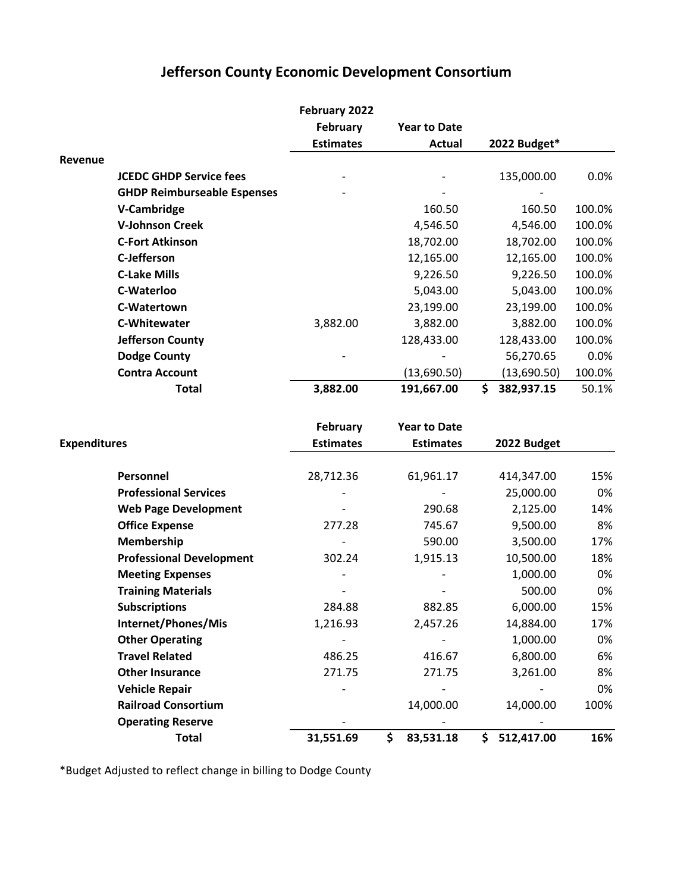# **Jefferson County Economic Development Consortium**

|                     |                                    | February 2022    |                     |                  |        |
|---------------------|------------------------------------|------------------|---------------------|------------------|--------|
|                     |                                    | <b>February</b>  | <b>Year to Date</b> |                  |        |
|                     |                                    | <b>Estimates</b> | <b>Actual</b>       | 2022 Budget*     |        |
| Revenue             |                                    |                  |                     |                  |        |
|                     | <b>JCEDC GHDP Service fees</b>     |                  |                     | 135,000.00       | 0.0%   |
|                     | <b>GHDP Reimburseable Espenses</b> |                  |                     |                  |        |
|                     | V-Cambridge                        |                  | 160.50              | 160.50           | 100.0% |
|                     | <b>V-Johnson Creek</b>             |                  | 4,546.50            | 4,546.00         | 100.0% |
|                     | <b>C-Fort Atkinson</b>             |                  | 18,702.00           | 18,702.00        | 100.0% |
|                     | <b>C-Jefferson</b>                 |                  | 12,165.00           | 12,165.00        | 100.0% |
|                     | <b>C-Lake Mills</b>                |                  | 9,226.50            | 9,226.50         | 100.0% |
|                     | <b>C-Waterloo</b>                  |                  | 5,043.00            | 5,043.00         | 100.0% |
|                     | C-Watertown                        |                  | 23,199.00           | 23,199.00        | 100.0% |
|                     | <b>C-Whitewater</b>                | 3,882.00         | 3,882.00            | 3,882.00         | 100.0% |
|                     | <b>Jefferson County</b>            |                  | 128,433.00          | 128,433.00       | 100.0% |
|                     | <b>Dodge County</b>                |                  |                     | 56,270.65        | 0.0%   |
|                     | <b>Contra Account</b>              |                  | (13,690.50)         | (13,690.50)      | 100.0% |
|                     | <b>Total</b>                       | 3,882.00         | 191,667.00          | \$<br>382,937.15 | 50.1%  |
|                     |                                    |                  |                     |                  |        |
|                     |                                    | February         | <b>Year to Date</b> |                  |        |
| <b>Expenditures</b> |                                    | <b>Estimates</b> | <b>Estimates</b>    | 2022 Budget      |        |
|                     |                                    |                  |                     |                  |        |
|                     | Personnel                          | 28,712.36        | 61,961.17           | 414,347.00       | 15%    |
|                     | <b>Professional Services</b>       |                  |                     | 25,000.00        | 0%     |
|                     | <b>Web Page Development</b>        |                  | 290.68              | 2,125.00         | 14%    |
|                     | <b>Office Expense</b>              | 277.28           | 745.67              | 9,500.00         | 8%     |
|                     | Membership                         |                  | 590.00              | 3,500.00         | 17%    |
|                     | <b>Professional Development</b>    | 302.24           | 1,915.13            | 10,500.00        | 18%    |
|                     | <b>Meeting Expenses</b>            |                  |                     | 1,000.00         | 0%     |
|                     | <b>Training Materials</b>          |                  |                     | 500.00           | 0%     |
|                     | <b>Subscriptions</b>               | 284.88           | 882.85              | 6,000.00         | 15%    |
|                     | Internet/Phones/Mis                | 1,216.93         | 2,457.26            | 14,884.00        | 17%    |
|                     | <b>Other Operating</b>             |                  |                     | 1,000.00         | 0%     |
|                     | <b>Travel Related</b>              | 486.25           | 416.67              | 6,800.00         | 6%     |
|                     | <b>Other Insurance</b>             | 271.75           | 271.75              | 3,261.00         | 8%     |
|                     | <b>Vehicle Repair</b>              |                  |                     |                  | 0%     |
|                     | <b>Railroad Consortium</b>         |                  | 14,000.00           | 14,000.00        | 100%   |
|                     | <b>Operating Reserve</b>           |                  |                     |                  |        |
|                     | <b>Total</b>                       | 31,551.69        | \$<br>83,531.18     | \$<br>512,417.00 | 16%    |

\*Budget Adjusted to reflect change in billing to Dodge County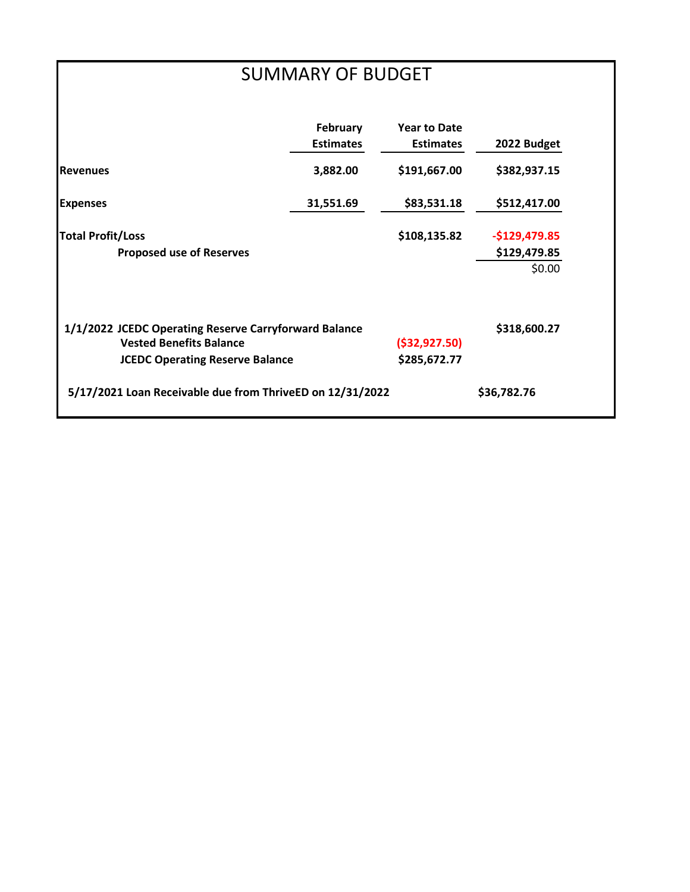# SUMMARY OF BUDGET

|                                                                                                                                   | <b>February</b><br><b>Estimates</b> | <b>Year to Date</b><br><b>Estimates</b> | 2022 Budget                              |
|-----------------------------------------------------------------------------------------------------------------------------------|-------------------------------------|-----------------------------------------|------------------------------------------|
| <b>I</b> Revenues                                                                                                                 | 3,882.00                            | \$191,667.00                            | \$382,937.15                             |
| <b>Expenses</b>                                                                                                                   | 31,551.69                           | \$83,531.18                             | \$512,417.00                             |
| <b>Total Profit/Loss</b><br><b>Proposed use of Reserves</b>                                                                       |                                     | \$108,135.82                            | $-$129,479.85$<br>\$129,479.85<br>\$0.00 |
| 1/1/2022 JCEDC Operating Reserve Carryforward Balance<br><b>Vested Benefits Balance</b><br><b>JCEDC Operating Reserve Balance</b> | ( \$32, 927.50)<br>\$285,672.77     | \$318,600.27                            |                                          |
| 5/17/2021 Loan Receivable due from ThriveED on 12/31/2022                                                                         |                                     |                                         | \$36,782.76                              |